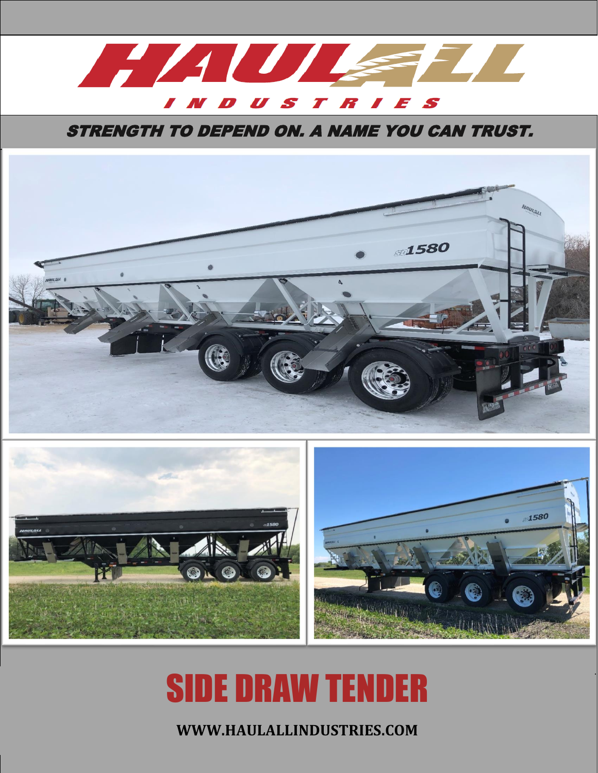

**STRENGTH TO DEPEND ON. A NAME YOU CAN TRUST.** 





# SIDE DRAW TENDER

**WWW.HAULALLINDUSTRIES.COM**